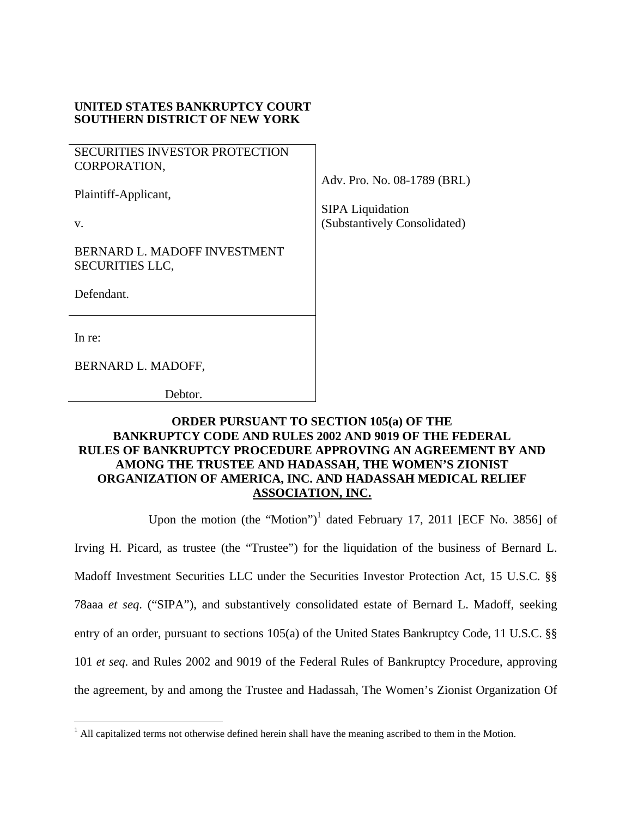## **UNITED STATES BANKRUPTCY COURT SOUTHERN DISTRICT OF NEW YORK**

SECURITIES INVESTOR PROTECTION CORPORATION,

Plaintiff-Applicant,

BERNARD L. MADOFF INVESTMENT SECURITIES LLC,

Defendant.

In re:

 $\overline{a}$ 

BERNARD L. MADOFF,

Debtor.

## **ORDER PURSUANT TO SECTION 105(a) OF THE BANKRUPTCY CODE AND RULES 2002 AND 9019 OF THE FEDERAL RULES OF BANKRUPTCY PROCEDURE APPROVING AN AGREEMENT BY AND AMONG THE TRUSTEE AND HADASSAH, THE WOMEN'S ZIONIST ORGANIZATION OF AMERICA, INC. AND HADASSAH MEDICAL RELIEF ASSOCIATION, INC.**

Upon the motion (the "Motion")<sup>1</sup> dated February 17, 2011 [ECF No. 3856] of

Irving H. Picard, as trustee (the "Trustee") for the liquidation of the business of Bernard L. Madoff Investment Securities LLC under the Securities Investor Protection Act, 15 U.S.C. §§ 78aaa *et seq*. ("SIPA"), and substantively consolidated estate of Bernard L. Madoff, seeking entry of an order, pursuant to sections 105(a) of the United States Bankruptcy Code, 11 U.S.C. §§ 101 *et seq*. and Rules 2002 and 9019 of the Federal Rules of Bankruptcy Procedure, approving the agreement, by and among the Trustee and Hadassah, The Women's Zionist Organization Of

Adv. Pro. No. 08-1789 (BRL)

 SIPA Liquidation v. (Substantively Consolidated)

 $<sup>1</sup>$  All capitalized terms not otherwise defined herein shall have the meaning ascribed to them in the Motion.</sup>